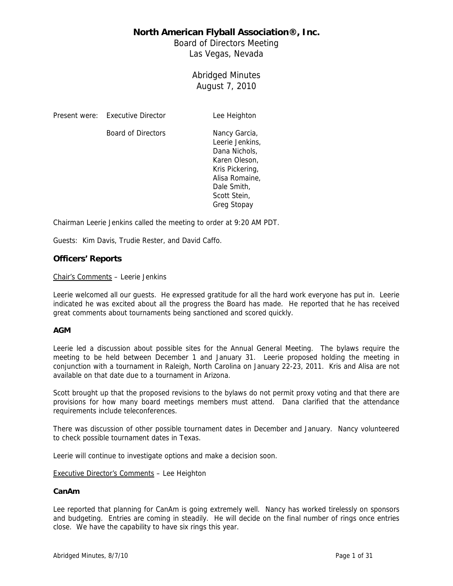Board of Directors Meeting Las Vegas, Nevada

# Abridged Minutes August 7, 2010

Present were: Executive Director Lee Heighton

Board of Directors Nancy Garcia,

Leerie Jenkins, Dana Nichols, Karen Oleson, Kris Pickering, Alisa Romaine, Dale Smith, Scott Stein, Greg Stopay

Chairman Leerie Jenkins called the meeting to order at 9:20 AM PDT.

Guests: Kim Davis, Trudie Rester, and David Caffo.

### **Officers' Reports**

Chair's Comments – Leerie Jenkins

Leerie welcomed all our guests. He expressed gratitude for all the hard work everyone has put in. Leerie indicated he was excited about all the progress the Board has made. He reported that he has received great comments about tournaments being sanctioned and scored quickly.

### **AGM**

Leerie led a discussion about possible sites for the Annual General Meeting. The bylaws require the meeting to be held between December 1 and January 31. Leerie proposed holding the meeting in conjunction with a tournament in Raleigh, North Carolina on January 22-23, 2011. Kris and Alisa are not available on that date due to a tournament in Arizona.

Scott brought up that the proposed revisions to the bylaws do not permit proxy voting and that there are provisions for how many board meetings members must attend. Dana clarified that the attendance requirements include teleconferences.

There was discussion of other possible tournament dates in December and January. Nancy volunteered to check possible tournament dates in Texas.

Leerie will continue to investigate options and make a decision soon.

Executive Director's Comments – Lee Heighton

### **CanAm**

Lee reported that planning for CanAm is going extremely well. Nancy has worked tirelessly on sponsors and budgeting. Entries are coming in steadily. He will decide on the final number of rings once entries close. We have the capability to have six rings this year.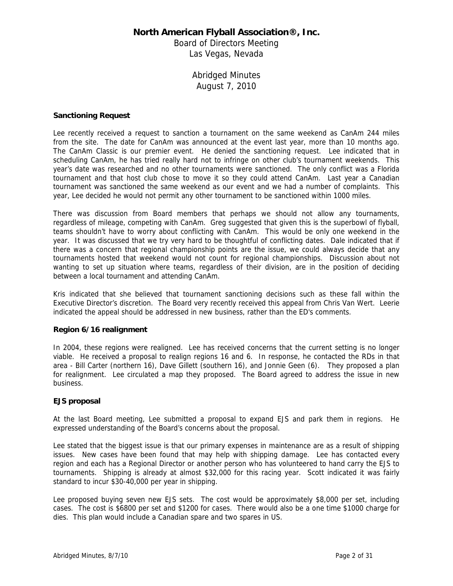Board of Directors Meeting Las Vegas, Nevada

# Abridged Minutes August 7, 2010

### **Sanctioning Request**

Lee recently received a request to sanction a tournament on the same weekend as CanAm 244 miles from the site. The date for CanAm was announced at the event last year, more than 10 months ago. The CanAm Classic is our premier event. He denied the sanctioning request. Lee indicated that in scheduling CanAm, he has tried really hard not to infringe on other club's tournament weekends. This year's date was researched and no other tournaments were sanctioned. The only conflict was a Florida tournament and that host club chose to move it so they could attend CanAm. Last year a Canadian tournament was sanctioned the same weekend as our event and we had a number of complaints. This year, Lee decided he would not permit any other tournament to be sanctioned within 1000 miles.

There was discussion from Board members that perhaps we should not allow any tournaments, regardless of mileage, competing with CanAm. Greg suggested that given this is the superbowl of flyball, teams shouldn't have to worry about conflicting with CanAm. This would be only one weekend in the year. It was discussed that we try very hard to be thoughtful of conflicting dates. Dale indicated that if there was a concern that regional championship points are the issue, we could always decide that any tournaments hosted that weekend would not count for regional championships. Discussion about not wanting to set up situation where teams, regardless of their division, are in the position of deciding between a local tournament and attending CanAm.

Kris indicated that she believed that tournament sanctioning decisions such as these fall within the Executive Director's discretion. The Board very recently received this appeal from Chris Van Wert. Leerie indicated the appeal should be addressed in new business, rather than the ED's comments.

### **Region 6/16 realignment**

In 2004, these regions were realigned. Lee has received concerns that the current setting is no longer viable. He received a proposal to realign regions 16 and 6. In response, he contacted the RDs in that area - Bill Carter (northern 16), Dave Gillett (southern 16), and Jonnie Geen (6). They proposed a plan for realignment. Lee circulated a map they proposed. The Board agreed to address the issue in new business.

### **EJS proposal**

At the last Board meeting, Lee submitted a proposal to expand EJS and park them in regions. He expressed understanding of the Board's concerns about the proposal.

Lee stated that the biggest issue is that our primary expenses in maintenance are as a result of shipping issues. New cases have been found that may help with shipping damage. Lee has contacted every region and each has a Regional Director or another person who has volunteered to hand carry the EJS to tournaments. Shipping is already at almost \$32,000 for this racing year. Scott indicated it was fairly standard to incur \$30-40,000 per year in shipping.

Lee proposed buying seven new EJS sets. The cost would be approximately \$8,000 per set, including cases. The cost is \$6800 per set and \$1200 for cases. There would also be a one time \$1000 charge for dies. This plan would include a Canadian spare and two spares in US.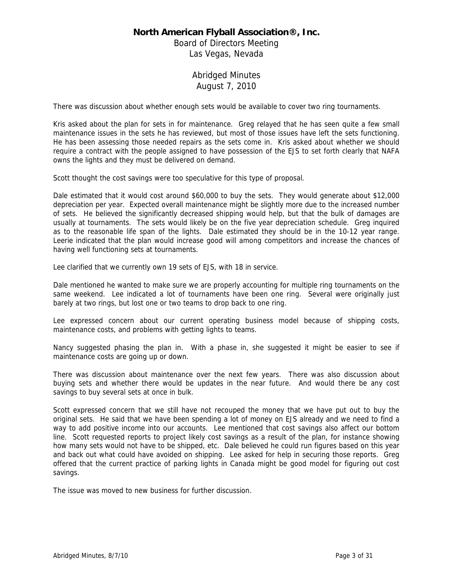Board of Directors Meeting Las Vegas, Nevada

# Abridged Minutes August 7, 2010

There was discussion about whether enough sets would be available to cover two ring tournaments.

Kris asked about the plan for sets in for maintenance. Greg relayed that he has seen quite a few small maintenance issues in the sets he has reviewed, but most of those issues have left the sets functioning. He has been assessing those needed repairs as the sets come in. Kris asked about whether we should require a contract with the people assigned to have possession of the EJS to set forth clearly that NAFA owns the lights and they must be delivered on demand.

Scott thought the cost savings were too speculative for this type of proposal.

Dale estimated that it would cost around \$60,000 to buy the sets. They would generate about \$12,000 depreciation per year. Expected overall maintenance might be slightly more due to the increased number of sets. He believed the significantly decreased shipping would help, but that the bulk of damages are usually at tournaments. The sets would likely be on the five year depreciation schedule. Greg inquired as to the reasonable life span of the lights. Dale estimated they should be in the 10-12 year range. Leerie indicated that the plan would increase good will among competitors and increase the chances of having well functioning sets at tournaments.

Lee clarified that we currently own 19 sets of EJS, with 18 in service.

Dale mentioned he wanted to make sure we are properly accounting for multiple ring tournaments on the same weekend. Lee indicated a lot of tournaments have been one ring. Several were originally just barely at two rings, but lost one or two teams to drop back to one ring.

Lee expressed concern about our current operating business model because of shipping costs, maintenance costs, and problems with getting lights to teams.

Nancy suggested phasing the plan in. With a phase in, she suggested it might be easier to see if maintenance costs are going up or down.

There was discussion about maintenance over the next few years. There was also discussion about buying sets and whether there would be updates in the near future. And would there be any cost savings to buy several sets at once in bulk.

Scott expressed concern that we still have not recouped the money that we have put out to buy the original sets. He said that we have been spending a lot of money on EJS already and we need to find a way to add positive income into our accounts. Lee mentioned that cost savings also affect our bottom line. Scott requested reports to project likely cost savings as a result of the plan, for instance showing how many sets would not have to be shipped, etc. Dale believed he could run figures based on this year and back out what could have avoided on shipping. Lee asked for help in securing those reports. Greg offered that the current practice of parking lights in Canada might be good model for figuring out cost savings.

The issue was moved to new business for further discussion.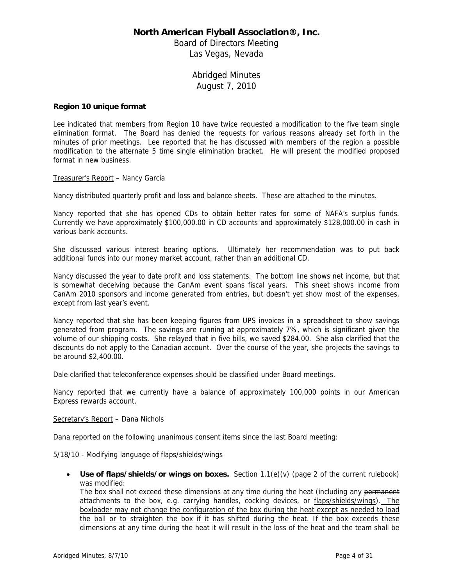Board of Directors Meeting Las Vegas, Nevada

# Abridged Minutes August 7, 2010

### **Region 10 unique format**

Lee indicated that members from Region 10 have twice requested a modification to the five team single elimination format. The Board has denied the requests for various reasons already set forth in the minutes of prior meetings. Lee reported that he has discussed with members of the region a possible modification to the alternate 5 time single elimination bracket. He will present the modified proposed format in new business.

Treasurer's Report – Nancy Garcia

Nancy distributed quarterly profit and loss and balance sheets. These are attached to the minutes.

Nancy reported that she has opened CDs to obtain better rates for some of NAFA's surplus funds. Currently we have approximately \$100,000.00 in CD accounts and approximately \$128,000.00 in cash in various bank accounts.

She discussed various interest bearing options. Ultimately her recommendation was to put back additional funds into our money market account, rather than an additional CD.

Nancy discussed the year to date profit and loss statements. The bottom line shows net income, but that is somewhat deceiving because the CanAm event spans fiscal years. This sheet shows income from CanAm 2010 sponsors and income generated from entries, but doesn't yet show most of the expenses, except from last year's event.

Nancy reported that she has been keeping figures from UPS invoices in a spreadsheet to show savings generated from program. The savings are running at approximately 7%, which is significant given the volume of our shipping costs. She relayed that in five bills, we saved \$284.00. She also clarified that the discounts do not apply to the Canadian account. Over the course of the year, she projects the savings to be around \$2,400.00.

Dale clarified that teleconference expenses should be classified under Board meetings.

Nancy reported that we currently have a balance of approximately 100,000 points in our American Express rewards account.

### Secretary's Report - Dana Nichols

Dana reported on the following unanimous consent items since the last Board meeting:

5/18/10 - Modifying language of flaps/shields/wings

• **Use of flaps/shields/or wings on boxes.** Section 1.1(e)(v) (page 2 of the current rulebook) was modified:

The box shall not exceed these dimensions at any time during the heat (including any permanent attachments to the box, e.g. carrying handles, cocking devices, or flaps/shields/wings). The boxloader may not change the configuration of the box during the heat except as needed to load the ball or to straighten the box if it has shifted during the heat. If the box exceeds these dimensions at any time during the heat it will result in the loss of the heat and the team shall be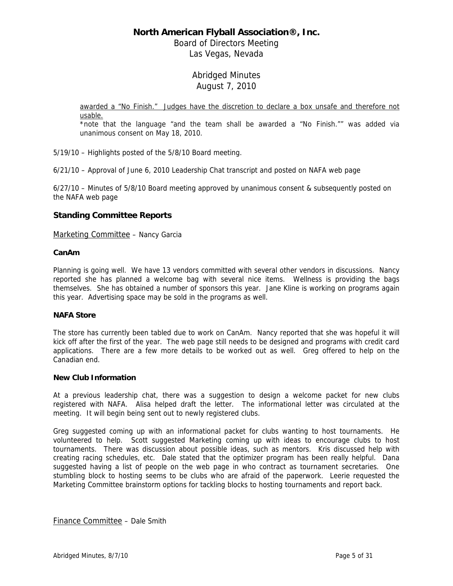Board of Directors Meeting Las Vegas, Nevada

# Abridged Minutes August 7, 2010

awarded a "No Finish." Judges have the discretion to declare a box unsafe and therefore not usable.

\*note that the language "and the team shall be awarded a "No Finish."" was added via unanimous consent on May 18, 2010.

5/19/10 – Highlights posted of the 5/8/10 Board meeting.

6/21/10 – Approval of June 6, 2010 Leadership Chat transcript and posted on NAFA web page

6/27/10 – Minutes of 5/8/10 Board meeting approved by unanimous consent & subsequently posted on the NAFA web page

## **Standing Committee Reports**

Marketing Committee – Nancy Garcia

### **CanAm**

Planning is going well. We have 13 vendors committed with several other vendors in discussions. Nancy reported she has planned a welcome bag with several nice items. Wellness is providing the bags themselves. She has obtained a number of sponsors this year. Jane Kline is working on programs again this year. Advertising space may be sold in the programs as well.

### **NAFA Store**

The store has currently been tabled due to work on CanAm. Nancy reported that she was hopeful it will kick off after the first of the year. The web page still needs to be designed and programs with credit card applications. There are a few more details to be worked out as well. Greg offered to help on the Canadian end.

### **New Club Information**

At a previous leadership chat, there was a suggestion to design a welcome packet for new clubs registered with NAFA. Alisa helped draft the letter. The informational letter was circulated at the meeting. It will begin being sent out to newly registered clubs.

Greg suggested coming up with an informational packet for clubs wanting to host tournaments. He volunteered to help. Scott suggested Marketing coming up with ideas to encourage clubs to host tournaments. There was discussion about possible ideas, such as mentors. Kris discussed help with creating racing schedules, etc. Dale stated that the optimizer program has been really helpful. Dana suggested having a list of people on the web page in who contract as tournament secretaries. One stumbling block to hosting seems to be clubs who are afraid of the paperwork. Leerie requested the Marketing Committee brainstorm options for tackling blocks to hosting tournaments and report back.

Finance Committee – Dale Smith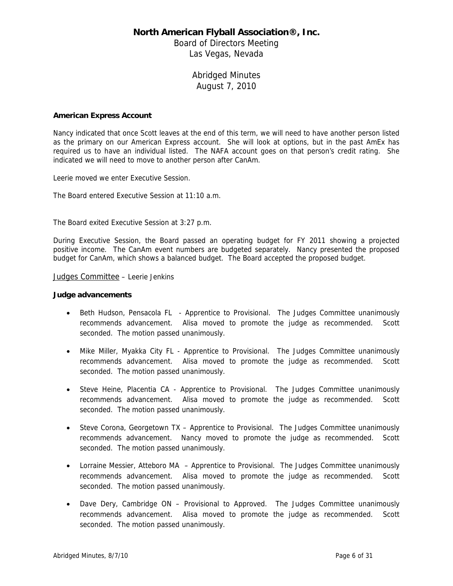Board of Directors Meeting Las Vegas, Nevada

# Abridged Minutes August 7, 2010

### **American Express Account**

Nancy indicated that once Scott leaves at the end of this term, we will need to have another person listed as the primary on our American Express account. She will look at options, but in the past AmEx has required us to have an individual listed. The NAFA account goes on that person's credit rating. She indicated we will need to move to another person after CanAm.

Leerie moved we enter Executive Session.

The Board entered Executive Session at 11:10 a.m.

The Board exited Executive Session at 3:27 p.m.

During Executive Session, the Board passed an operating budget for FY 2011 showing a projected positive income. The CanAm event numbers are budgeted separately. Nancy presented the proposed budget for CanAm, which shows a balanced budget. The Board accepted the proposed budget.

Judges Committee - Leerie Jenkins

#### **Judge advancements**

- Beth Hudson, Pensacola FL Apprentice to Provisional. The Judges Committee unanimously recommends advancement. Alisa moved to promote the judge as recommended. Scott seconded. The motion passed unanimously.
- Mike Miller, Myakka City FL Apprentice to Provisional. The Judges Committee unanimously recommends advancement. Alisa moved to promote the judge as recommended. Scott seconded. The motion passed unanimously.
- Steve Heine, Placentia CA Apprentice to Provisional. The Judges Committee unanimously recommends advancement. Alisa moved to promote the judge as recommended. Scott seconded. The motion passed unanimously.
- Steve Corona, Georgetown TX Apprentice to Provisional. The Judges Committee unanimously recommends advancement. Nancy moved to promote the judge as recommended. Scott seconded. The motion passed unanimously.
- Lorraine Messier, Atteboro MA Apprentice to Provisional. The Judges Committee unanimously recommends advancement. Alisa moved to promote the judge as recommended. Scott seconded. The motion passed unanimously.
- Dave Dery, Cambridge ON Provisional to Approved. The Judges Committee unanimously recommends advancement. Alisa moved to promote the judge as recommended. Scott seconded. The motion passed unanimously.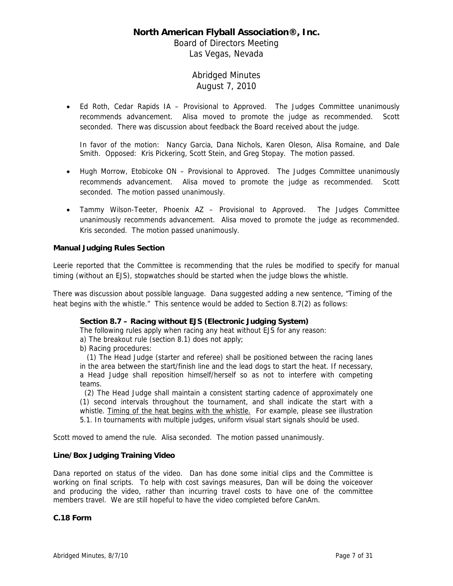Board of Directors Meeting Las Vegas, Nevada

# Abridged Minutes August 7, 2010

• Ed Roth, Cedar Rapids IA – Provisional to Approved. The Judges Committee unanimously recommends advancement. Alisa moved to promote the judge as recommended. Scott seconded. There was discussion about feedback the Board received about the judge.

In favor of the motion: Nancy Garcia, Dana Nichols, Karen Oleson, Alisa Romaine, and Dale Smith. Opposed: Kris Pickering, Scott Stein, and Greg Stopay. The motion passed.

- Hugh Morrow, Etobicoke ON Provisional to Approved. The Judges Committee unanimously recommends advancement. Alisa moved to promote the judge as recommended. Scott seconded. The motion passed unanimously.
- Tammy Wilson-Teeter, Phoenix AZ Provisional to Approved. The Judges Committee unanimously recommends advancement. Alisa moved to promote the judge as recommended. Kris seconded. The motion passed unanimously.

### **Manual Judging Rules Section**

Leerie reported that the Committee is recommending that the rules be modified to specify for manual timing (without an EJS), stopwatches should be started when the judge blows the whistle.

There was discussion about possible language. Dana suggested adding a new sentence, "Timing of the heat begins with the whistle." This sentence would be added to Section 8.7(2) as follows:

### **Section 8.7 – Racing without EJS (Electronic Judging System)**

The following rules apply when racing any heat without EJS for any reason:

a) The breakout rule (section 8.1) does not apply;

b) Racing procedures:

 (1) The Head Judge (starter and referee) shall be positioned between the racing lanes in the area between the start/finish line and the lead dogs to start the heat. If necessary, a Head Judge shall reposition himself/herself so as not to interfere with competing teams.

 (2) The Head Judge shall maintain a consistent starting cadence of approximately one (1) second intervals throughout the tournament, and shall indicate the start with a whistle. Timing of the heat begins with the whistle. For example, please see illustration 5.1. In tournaments with multiple judges, uniform visual start signals should be used.

Scott moved to amend the rule. Alisa seconded. The motion passed unanimously.

### **Line/Box Judging Training Video**

Dana reported on status of the video. Dan has done some initial clips and the Committee is working on final scripts. To help with cost savings measures, Dan will be doing the voiceover and producing the video, rather than incurring travel costs to have one of the committee members travel. We are still hopeful to have the video completed before CanAm.

### **C.18 Form**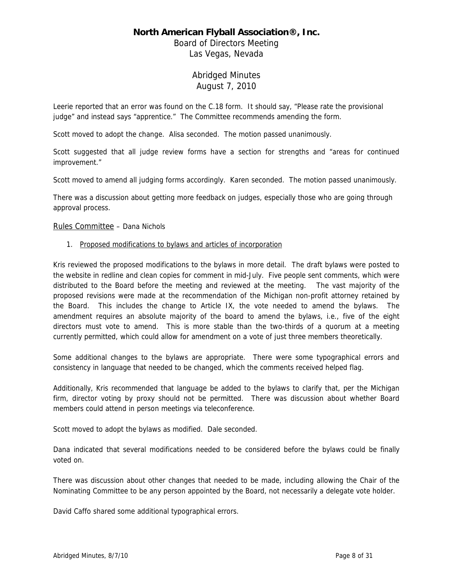Board of Directors Meeting Las Vegas, Nevada

# Abridged Minutes August 7, 2010

Leerie reported that an error was found on the C.18 form. It should say, "Please rate the provisional judge" and instead says "apprentice." The Committee recommends amending the form.

Scott moved to adopt the change. Alisa seconded. The motion passed unanimously.

Scott suggested that all judge review forms have a section for strengths and "areas for continued improvement."

Scott moved to amend all judging forms accordingly. Karen seconded. The motion passed unanimously.

There was a discussion about getting more feedback on judges, especially those who are going through approval process.

### Rules Committee – Dana Nichols

1. Proposed modifications to bylaws and articles of incorporation

Kris reviewed the proposed modifications to the bylaws in more detail. The draft bylaws were posted to the website in redline and clean copies for comment in mid-July. Five people sent comments, which were distributed to the Board before the meeting and reviewed at the meeting. The vast majority of the proposed revisions were made at the recommendation of the Michigan non-profit attorney retained by the Board. This includes the change to Article IX, the vote needed to amend the bylaws. The amendment requires an absolute majority of the board to amend the bylaws, i.e., five of the eight directors must vote to amend. This is more stable than the two-thirds of a quorum at a meeting currently permitted, which could allow for amendment on a vote of just three members theoretically.

Some additional changes to the bylaws are appropriate. There were some typographical errors and consistency in language that needed to be changed, which the comments received helped flag.

Additionally, Kris recommended that language be added to the bylaws to clarify that, per the Michigan firm, director voting by proxy should not be permitted. There was discussion about whether Board members could attend in person meetings via teleconference.

Scott moved to adopt the bylaws as modified. Dale seconded.

Dana indicated that several modifications needed to be considered before the bylaws could be finally voted on.

There was discussion about other changes that needed to be made, including allowing the Chair of the Nominating Committee to be any person appointed by the Board, not necessarily a delegate vote holder.

David Caffo shared some additional typographical errors.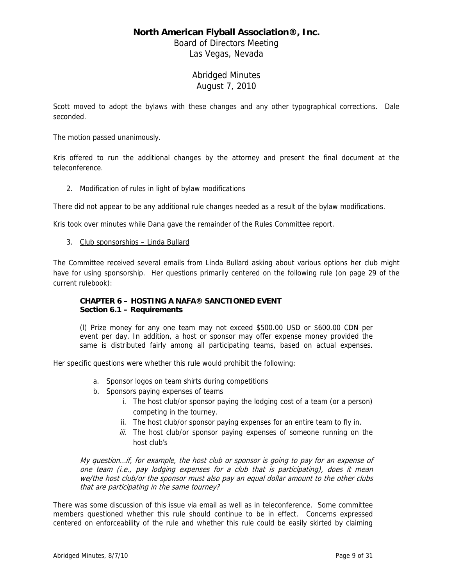Board of Directors Meeting Las Vegas, Nevada

# Abridged Minutes August 7, 2010

Scott moved to adopt the bylaws with these changes and any other typographical corrections. Dale seconded.

The motion passed unanimously.

Kris offered to run the additional changes by the attorney and present the final document at the teleconference.

### 2. Modification of rules in light of bylaw modifications

There did not appear to be any additional rule changes needed as a result of the bylaw modifications.

Kris took over minutes while Dana gave the remainder of the Rules Committee report.

### 3. Club sponsorships – Linda Bullard

The Committee received several emails from Linda Bullard asking about various options her club might have for using sponsorship. Her questions primarily centered on the following rule (on page 29 of the current rulebook):

### **CHAPTER 6 – HOSTING A NAFA® SANCTIONED EVENT Section 6.1 – Requirements**

(l) Prize money for any one team may not exceed \$500.00 USD or \$600.00 CDN per event per day. In addition, a host or sponsor may offer expense money provided the same is distributed fairly among all participating teams, based on actual expenses.

Her specific questions were whether this rule would prohibit the following:

- a. Sponsor logos on team shirts during competitions
- b. Sponsors paying expenses of teams
	- i. The host club/or sponsor paying the lodging cost of a team (or a person) competing in the tourney.
	- ii. The host club/or sponsor paying expenses for an entire team to fly in.
	- iii. The host club/or sponsor paying expenses of someone running on the host club's

My question…if, for example, the host club or sponsor is going to pay for an expense of one team (i.e., pay lodging expenses for a club that is participating), does it mean we/the host club/or the sponsor must also pay an equal dollar amount to the other clubs that are participating in the same tourney?

There was some discussion of this issue via email as well as in teleconference. Some committee members questioned whether this rule should continue to be in effect. Concerns expressed centered on enforceability of the rule and whether this rule could be easily skirted by claiming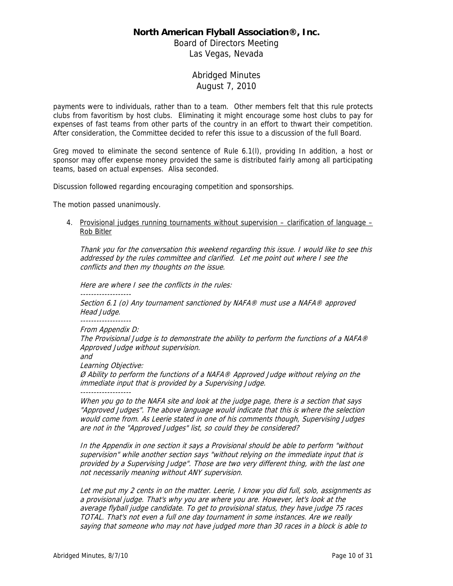Board of Directors Meeting Las Vegas, Nevada

# Abridged Minutes August 7, 2010

payments were to individuals, rather than to a team. Other members felt that this rule protects clubs from favoritism by host clubs. Eliminating it might encourage some host clubs to pay for expenses of fast teams from other parts of the country in an effort to thwart their competition. After consideration, the Committee decided to refer this issue to a discussion of the full Board.

Greg moved to eliminate the second sentence of Rule 6.1(l), providing In addition, a host or sponsor may offer expense money provided the same is distributed fairly among all participating teams, based on actual expenses. Alisa seconded.

Discussion followed regarding encouraging competition and sponsorships.

The motion passed unanimously.

4. Provisional judges running tournaments without supervision – clarification of language – Rob Bitler

Thank you for the conversation this weekend regarding this issue. I would like to see this addressed by the rules committee and clarified. Let me point out where I see the conflicts and then my thoughts on the issue.

Here are where I see the conflicts in the rules:

-------------------

Section 6.1 (o) Any tournament sanctioned by NAFA® must use a NAFA® approved Head Judge.

-------------------

From Appendix D:

The Provisional Judge is to demonstrate the ability to perform the functions of a NAFA® Approved Judge without supervision.

and

Learning Objective:

Ø Ability to perform the functions of a NAFA® Approved Judge without relying on the immediate input that is provided by a Supervising Judge.

-------------------

When you go to the NAFA site and look at the judge page, there is a section that says "Approved Judges". The above language would indicate that this is where the selection would come from. As Leerie stated in one of his comments though, Supervising Judges are not in the "Approved Judges" list, so could they be considered?

In the Appendix in one section it says a Provisional should be able to perform "without supervision" while another section says "without relying on the immediate input that is provided by a Supervising Judge". Those are two very different thing, with the last one not necessarily meaning without ANY supervision.

Let me put my 2 cents in on the matter. Leerie, I know you did full, solo, assignments as a provisional judge. That's why you are where you are. However, let's look at the average flyball judge candidate. To get to provisional status, they have judge 75 races TOTAL. That's not even a full one day tournament in some instances. Are we really saying that someone who may not have judged more than 30 races in a block is able to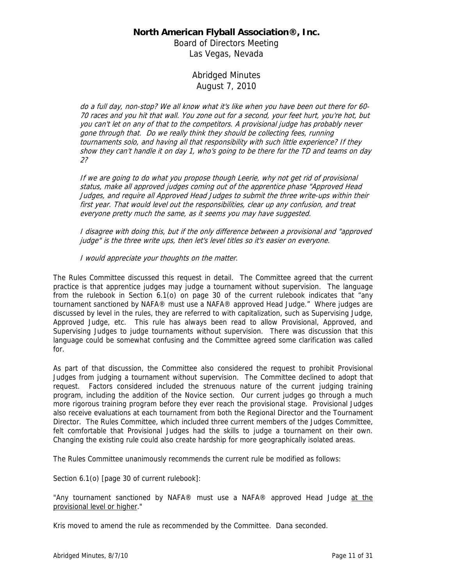Board of Directors Meeting Las Vegas, Nevada

# Abridged Minutes August 7, 2010

do a full day, non-stop? We all know what it's like when you have been out there for 60- 70 races and you hit that wall. You zone out for a second, your feet hurt, you're hot, but you can't let on any of that to the competitors. A provisional judge has probably never gone through that. Do we really think they should be collecting fees, running tournaments solo, and having all that responsibility with such little experience? If they show they can't handle it on day 1, who's going to be there for the TD and teams on day 2?

If we are going to do what you propose though Leerie, why not get rid of provisional status, make all approved judges coming out of the apprentice phase "Approved Head Judges, and require all Approved Head Judges to submit the three write-ups within their first year. That would level out the responsibilities, clear up any confusion, and treat everyone pretty much the same, as it seems you may have suggested.

I disagree with doing this, but if the only difference between a provisional and "approved judge" is the three write ups, then let's level titles so it's easier on everyone.

I would appreciate your thoughts on the matter.

The Rules Committee discussed this request in detail. The Committee agreed that the current practice is that apprentice judges may judge a tournament without supervision. The language from the rulebook in Section 6.1(o) on page 30 of the current rulebook indicates that "any tournament sanctioned by NAFA® must use a NAFA® approved Head Judge." Where judges are discussed by level in the rules, they are referred to with capitalization, such as Supervising Judge, Approved Judge, etc. This rule has always been read to allow Provisional, Approved, and Supervising Judges to judge tournaments without supervision. There was discussion that this language could be somewhat confusing and the Committee agreed some clarification was called for.

As part of that discussion, the Committee also considered the request to prohibit Provisional Judges from judging a tournament without supervision. The Committee declined to adopt that request. Factors considered included the strenuous nature of the current judging training program, including the addition of the Novice section. Our current judges go through a much more rigorous training program before they ever reach the provisional stage. Provisional Judges also receive evaluations at each tournament from both the Regional Director and the Tournament Director. The Rules Committee, which included three current members of the Judges Committee, felt comfortable that Provisional Judges had the skills to judge a tournament on their own. Changing the existing rule could also create hardship for more geographically isolated areas.

The Rules Committee unanimously recommends the current rule be modified as follows:

Section 6.1(o) [page 30 of current rulebook]:

"Any tournament sanctioned by NAFA® must use a NAFA® approved Head Judge at the provisional level or higher."

Kris moved to amend the rule as recommended by the Committee. Dana seconded.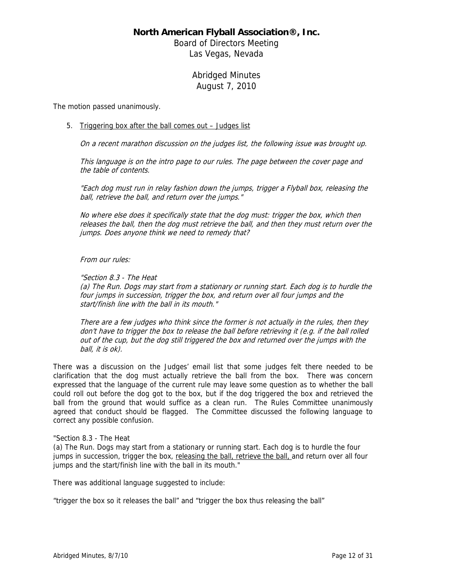Board of Directors Meeting Las Vegas, Nevada

# Abridged Minutes August 7, 2010

The motion passed unanimously.

### 5. Triggering box after the ball comes out – Judges list

On a recent marathon discussion on the judges list, the following issue was brought up.

This language is on the intro page to our rules. The page between the cover page and the table of contents.

"Each dog must run in relay fashion down the jumps, trigger a Flyball box, releasing the ball, retrieve the ball, and return over the jumps."

No where else does it specifically state that the dog must: trigger the box, which then releases the ball, then the dog must retrieve the ball, and then they must return over the jumps. Does anyone think we need to remedy that?

#### From our rules:

"Section 8.3 - The Heat

(a) The Run. Dogs may start from a stationary or running start. Each dog is to hurdle the four jumps in succession, trigger the box, and return over all four jumps and the start/finish line with the ball in its mouth."

There are a few judges who think since the former is not actually in the rules, then they don't have to trigger the box to release the ball before retrieving it (e.g. if the ball rolled out of the cup, but the dog still triggered the box and returned over the jumps with the ball, it is ok).

There was a discussion on the Judges' email list that some judges felt there needed to be clarification that the dog must actually retrieve the ball from the box. There was concern expressed that the language of the current rule may leave some question as to whether the ball could roll out before the dog got to the box, but if the dog triggered the box and retrieved the ball from the ground that would suffice as a clean run. The Rules Committee unanimously agreed that conduct should be flagged. The Committee discussed the following language to correct any possible confusion.

### "Section 8.3 - The Heat

(a) The Run. Dogs may start from a stationary or running start. Each dog is to hurdle the four jumps in succession, trigger the box, releasing the ball, retrieve the ball, and return over all four jumps and the start/finish line with the ball in its mouth."

There was additional language suggested to include:

"trigger the box so it releases the ball" and "trigger the box thus releasing the ball"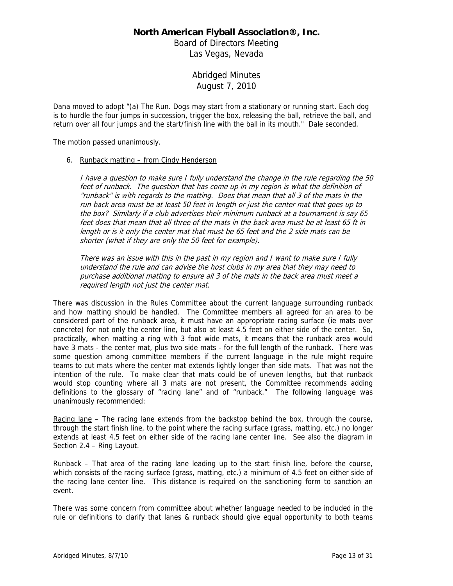Board of Directors Meeting Las Vegas, Nevada

# Abridged Minutes August 7, 2010

Dana moved to adopt "(a) The Run. Dogs may start from a stationary or running start. Each dog is to hurdle the four jumps in succession, trigger the box, releasing the ball, retrieve the ball, and return over all four jumps and the start/finish line with the ball in its mouth." Dale seconded.

The motion passed unanimously.

#### 6. Runback matting – from Cindy Henderson

I have a question to make sure I fully understand the change in the rule regarding the 50 feet of runback. The question that has come up in my region is what the definition of "runback" is with regards to the matting. Does that mean that all 3 of the mats in the run back area must be at least 50 feet in length or just the center mat that goes up to the box? Similarly if a club advertises their minimum runback at a tournament is say 65 feet does that mean that all three of the mats in the back area must be at least 65 ft in length or is it only the center mat that must be 65 feet and the 2 side mats can be shorter (what if they are only the 50 feet for example).

There was an issue with this in the past in my region and I want to make sure I fully understand the rule and can advise the host clubs in my area that they may need to purchase additional matting to ensure all 3 of the mats in the back area must meet a required length not just the center mat.

There was discussion in the Rules Committee about the current language surrounding runback and how matting should be handled. The Committee members all agreed for an area to be considered part of the runback area, it must have an appropriate racing surface (ie mats over concrete) for not only the center line, but also at least 4.5 feet on either side of the center. So, practically, when matting a ring with 3 foot wide mats, it means that the runback area would have 3 mats - the center mat, plus two side mats - for the full length of the runback. There was some question among committee members if the current language in the rule might require teams to cut mats where the center mat extends lightly longer than side mats. That was not the intention of the rule. To make clear that mats could be of uneven lengths, but that runback would stop counting where all 3 mats are not present, the Committee recommends adding definitions to the glossary of "racing lane" and of "runback." The following language was unanimously recommended:

Racing lane – The racing lane extends from the backstop behind the box, through the course, through the start finish line, to the point where the racing surface (grass, matting, etc.) no longer extends at least 4.5 feet on either side of the racing lane center line. See also the diagram in Section 2.4 – Ring Layout.

Runback – That area of the racing lane leading up to the start finish line, before the course, which consists of the racing surface (grass, matting, etc.) a minimum of 4.5 feet on either side of the racing lane center line. This distance is required on the sanctioning form to sanction an event.

There was some concern from committee about whether language needed to be included in the rule or definitions to clarify that lanes & runback should give equal opportunity to both teams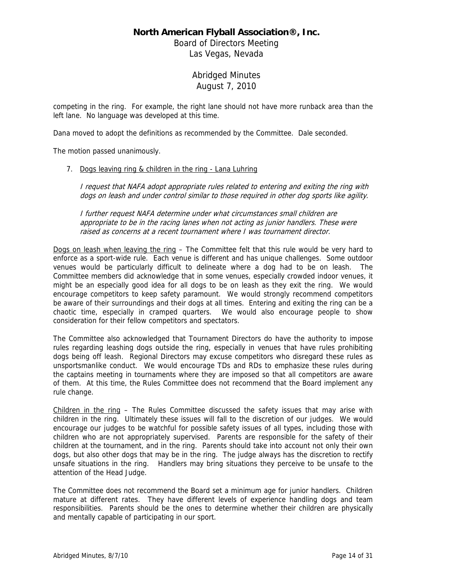Board of Directors Meeting Las Vegas, Nevada

# Abridged Minutes August 7, 2010

competing in the ring. For example, the right lane should not have more runback area than the left lane. No language was developed at this time.

Dana moved to adopt the definitions as recommended by the Committee. Dale seconded.

The motion passed unanimously.

### 7. Dogs leaving ring & children in the ring - Lana Luhring

I request that NAFA adopt appropriate rules related to entering and exiting the ring with dogs on leash and under control similar to those required in other dog sports like agility.

I further request NAFA determine under what circumstances small children are appropriate to be in the racing lanes when not acting as junior handlers. These were raised as concerns at a recent tournament where I was tournament director.

Dogs on leash when leaving the ring - The Committee felt that this rule would be very hard to enforce as a sport-wide rule. Each venue is different and has unique challenges. Some outdoor venues would be particularly difficult to delineate where a dog had to be on leash. The Committee members did acknowledge that in some venues, especially crowded indoor venues, it might be an especially good idea for all dogs to be on leash as they exit the ring. We would encourage competitors to keep safety paramount. We would strongly recommend competitors be aware of their surroundings and their dogs at all times. Entering and exiting the ring can be a chaotic time, especially in cramped quarters. We would also encourage people to show consideration for their fellow competitors and spectators.

The Committee also acknowledged that Tournament Directors do have the authority to impose rules regarding leashing dogs outside the ring, especially in venues that have rules prohibiting dogs being off leash. Regional Directors may excuse competitors who disregard these rules as unsportsmanlike conduct. We would encourage TDs and RDs to emphasize these rules during the captains meeting in tournaments where they are imposed so that all competitors are aware of them. At this time, the Rules Committee does not recommend that the Board implement any rule change.

Children in the ring – The Rules Committee discussed the safety issues that may arise with children in the ring. Ultimately these issues will fall to the discretion of our judges. We would encourage our judges to be watchful for possible safety issues of all types, including those with children who are not appropriately supervised. Parents are responsible for the safety of their children at the tournament, and in the ring. Parents should take into account not only their own dogs, but also other dogs that may be in the ring. The judge always has the discretion to rectify unsafe situations in the ring. Handlers may bring situations they perceive to be unsafe to the attention of the Head Judge.

The Committee does not recommend the Board set a minimum age for junior handlers. Children mature at different rates. They have different levels of experience handling dogs and team responsibilities. Parents should be the ones to determine whether their children are physically and mentally capable of participating in our sport.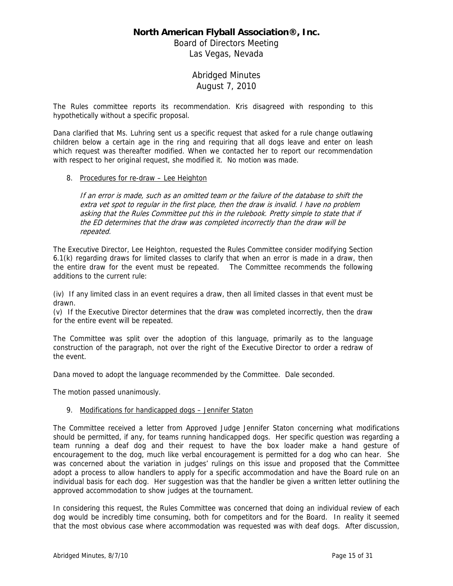Board of Directors Meeting Las Vegas, Nevada

# Abridged Minutes August 7, 2010

The Rules committee reports its recommendation. Kris disagreed with responding to this hypothetically without a specific proposal.

Dana clarified that Ms. Luhring sent us a specific request that asked for a rule change outlawing children below a certain age in the ring and requiring that all dogs leave and enter on leash which request was thereafter modified. When we contacted her to report our recommendation with respect to her original request, she modified it. No motion was made.

### 8. Procedures for re-draw – Lee Heighton

If an error is made, such as an omitted team or the failure of the database to shift the extra vet spot to regular in the first place, then the draw is invalid. I have no problem asking that the Rules Committee put this in the rulebook. Pretty simple to state that if the ED determines that the draw was completed incorrectly than the draw will be repeated.

The Executive Director, Lee Heighton, requested the Rules Committee consider modifying Section 6.1(k) regarding draws for limited classes to clarify that when an error is made in a draw, then the entire draw for the event must be repeated. The Committee recommends the following additions to the current rule:

(iv) If any limited class in an event requires a draw, then all limited classes in that event must be drawn.

(v) If the Executive Director determines that the draw was completed incorrectly, then the draw for the entire event will be repeated.

The Committee was split over the adoption of this language, primarily as to the language construction of the paragraph, not over the right of the Executive Director to order a redraw of the event.

Dana moved to adopt the language recommended by the Committee. Dale seconded.

The motion passed unanimously.

### 9. Modifications for handicapped dogs – Jennifer Staton

The Committee received a letter from Approved Judge Jennifer Staton concerning what modifications should be permitted, if any, for teams running handicapped dogs. Her specific question was regarding a team running a deaf dog and their request to have the box loader make a hand gesture of encouragement to the dog, much like verbal encouragement is permitted for a dog who can hear. She was concerned about the variation in judges' rulings on this issue and proposed that the Committee adopt a process to allow handlers to apply for a specific accommodation and have the Board rule on an individual basis for each dog. Her suggestion was that the handler be given a written letter outlining the approved accommodation to show judges at the tournament.

In considering this request, the Rules Committee was concerned that doing an individual review of each dog would be incredibly time consuming, both for competitors and for the Board. In reality it seemed that the most obvious case where accommodation was requested was with deaf dogs. After discussion,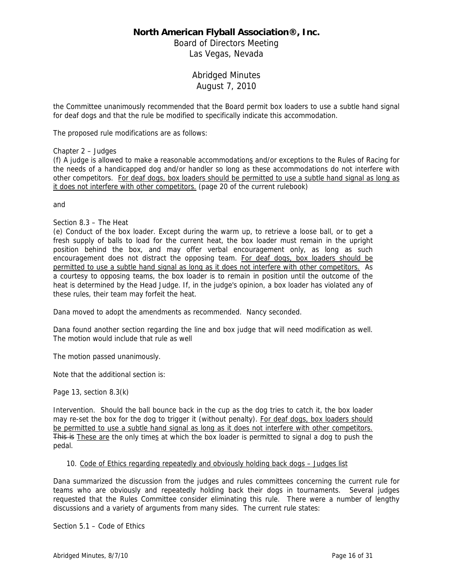Board of Directors Meeting Las Vegas, Nevada

# Abridged Minutes August 7, 2010

the Committee unanimously recommended that the Board permit box loaders to use a subtle hand signal for deaf dogs and that the rule be modified to specifically indicate this accommodation.

The proposed rule modifications are as follows:

### Chapter 2 – Judges

(f) A judge is allowed to make a reasonable accommodations and/or exceptions to the Rules of Racing for the needs of a handicapped dog and/or handler so long as these accommodations do not interfere with other competitors. For deaf dogs, box loaders should be permitted to use a subtle hand signal as long as it does not interfere with other competitors. (page 20 of the current rulebook)

and

### Section 8.3 – The Heat

(e) Conduct of the box loader. Except during the warm up, to retrieve a loose ball, or to get a fresh supply of balls to load for the current heat, the box loader must remain in the upright position behind the box, and may offer verbal encouragement only, as long as such encouragement does not distract the opposing team. For deaf dogs, box loaders should be permitted to use a subtle hand signal as long as it does not interfere with other competitors. As a courtesy to opposing teams, the box loader is to remain in position until the outcome of the heat is determined by the Head Judge. If, in the judge's opinion, a box loader has violated any of these rules, their team may forfeit the heat.

Dana moved to adopt the amendments as recommended. Nancy seconded.

Dana found another section regarding the line and box judge that will need modification as well. The motion would include that rule as well

The motion passed unanimously.

Note that the additional section is:

Page 13, section 8.3(k)

Intervention. Should the ball bounce back in the cup as the dog tries to catch it, the box loader may re-set the box for the dog to trigger it (without penalty). For deaf dogs, box loaders should be permitted to use a subtle hand signal as long as it does not interfere with other competitors. This is These are the only times at which the box loader is permitted to signal a dog to push the pedal.

### 10. Code of Ethics regarding repeatedly and obviously holding back dogs – Judges list

Dana summarized the discussion from the judges and rules committees concerning the current rule for teams who are obviously and repeatedly holding back their dogs in tournaments. Several judges requested that the Rules Committee consider eliminating this rule. There were a number of lengthy discussions and a variety of arguments from many sides. The current rule states:

Section 5.1 – Code of Ethics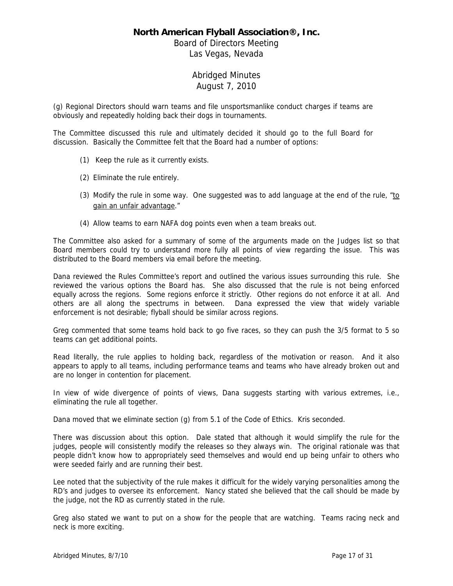Board of Directors Meeting Las Vegas, Nevada

# Abridged Minutes August 7, 2010

(g) Regional Directors should warn teams and file unsportsmanlike conduct charges if teams are obviously and repeatedly holding back their dogs in tournaments.

The Committee discussed this rule and ultimately decided it should go to the full Board for discussion. Basically the Committee felt that the Board had a number of options:

- (1) Keep the rule as it currently exists.
- (2) Eliminate the rule entirely.
- (3) Modify the rule in some way. One suggested was to add language at the end of the rule,  $"10"$ gain an unfair advantage."
- (4) Allow teams to earn NAFA dog points even when a team breaks out.

The Committee also asked for a summary of some of the arguments made on the Judges list so that Board members could try to understand more fully all points of view regarding the issue. This was distributed to the Board members via email before the meeting.

Dana reviewed the Rules Committee's report and outlined the various issues surrounding this rule. She reviewed the various options the Board has. She also discussed that the rule is not being enforced equally across the regions. Some regions enforce it strictly. Other regions do not enforce it at all. And others are all along the spectrums in between. Dana expressed the view that widely variable enforcement is not desirable; flyball should be similar across regions.

Greg commented that some teams hold back to go five races, so they can push the 3/5 format to 5 so teams can get additional points.

Read literally, the rule applies to holding back, regardless of the motivation or reason. And it also appears to apply to all teams, including performance teams and teams who have already broken out and are no longer in contention for placement.

In view of wide divergence of points of views, Dana suggests starting with various extremes, i.e., eliminating the rule all together.

Dana moved that we eliminate section (g) from 5.1 of the Code of Ethics. Kris seconded.

There was discussion about this option. Dale stated that although it would simplify the rule for the judges, people will consistently modify the releases so they always win. The original rationale was that people didn't know how to appropriately seed themselves and would end up being unfair to others who were seeded fairly and are running their best.

Lee noted that the subjectivity of the rule makes it difficult for the widely varying personalities among the RD's and judges to oversee its enforcement. Nancy stated she believed that the call should be made by the judge, not the RD as currently stated in the rule.

Greg also stated we want to put on a show for the people that are watching. Teams racing neck and neck is more exciting.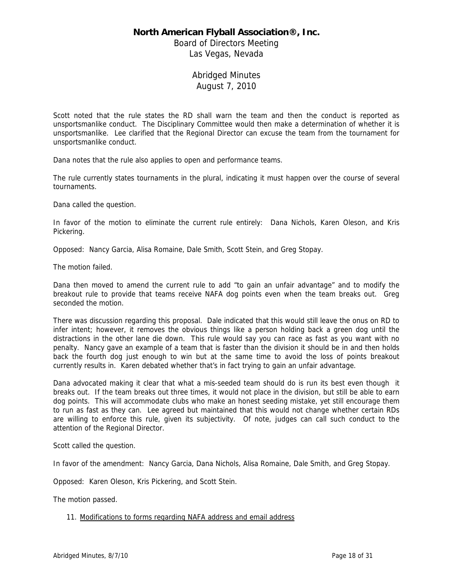Board of Directors Meeting Las Vegas, Nevada

# Abridged Minutes August 7, 2010

Scott noted that the rule states the RD shall warn the team and then the conduct is reported as unsportsmanlike conduct. The Disciplinary Committee would then make a determination of whether it is unsportsmanlike. Lee clarified that the Regional Director can excuse the team from the tournament for unsportsmanlike conduct.

Dana notes that the rule also applies to open and performance teams.

The rule currently states tournaments in the plural, indicating it must happen over the course of several tournaments.

Dana called the question.

In favor of the motion to eliminate the current rule entirely: Dana Nichols, Karen Oleson, and Kris Pickering.

Opposed: Nancy Garcia, Alisa Romaine, Dale Smith, Scott Stein, and Greg Stopay.

The motion failed.

Dana then moved to amend the current rule to add "to gain an unfair advantage" and to modify the breakout rule to provide that teams receive NAFA dog points even when the team breaks out. Greg seconded the motion.

There was discussion regarding this proposal. Dale indicated that this would still leave the onus on RD to infer intent; however, it removes the obvious things like a person holding back a green dog until the distractions in the other lane die down. This rule would say you can race as fast as you want with no penalty. Nancy gave an example of a team that is faster than the division it should be in and then holds back the fourth dog just enough to win but at the same time to avoid the loss of points breakout currently results in. Karen debated whether that's in fact trying to gain an unfair advantage.

Dana advocated making it clear that what a mis-seeded team should do is run its best even though it breaks out. If the team breaks out three times, it would not place in the division, but still be able to earn dog points. This will accommodate clubs who make an honest seeding mistake, yet still encourage them to run as fast as they can. Lee agreed but maintained that this would not change whether certain RDs are willing to enforce this rule, given its subjectivity. Of note, judges can call such conduct to the attention of the Regional Director.

Scott called the question.

In favor of the amendment: Nancy Garcia, Dana Nichols, Alisa Romaine, Dale Smith, and Greg Stopay.

Opposed: Karen Oleson, Kris Pickering, and Scott Stein.

The motion passed.

### 11. Modifications to forms regarding NAFA address and email address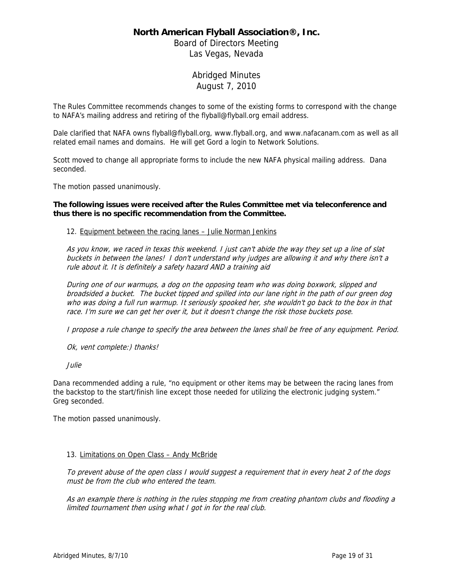Board of Directors Meeting Las Vegas, Nevada

# Abridged Minutes August 7, 2010

The Rules Committee recommends changes to some of the existing forms to correspond with the change to NAFA's mailing address and retiring of the flyball@flyball.org email address.

Dale clarified that NAFA owns flyball@flyball.org, www.flyball.org, and www.nafacanam.com as well as all related email names and domains. He will get Gord a login to Network Solutions.

Scott moved to change all appropriate forms to include the new NAFA physical mailing address. Dana seconded.

The motion passed unanimously.

### **The following issues were received after the Rules Committee met via teleconference and thus there is no specific recommendation from the Committee.**

### 12. Equipment between the racing lanes – Julie Norman Jenkins

As you know, we raced in texas this weekend. I just can't abide the way they set up a line of slat buckets in between the lanes! I don't understand why judges are allowing it and why there isn't a rule about it. It is definitely a safety hazard AND a training aid

During one of our warmups, a dog on the opposing team who was doing boxwork, slipped and broadsided a bucket. The bucket tipped and spilled into our lane right in the path of our green dog who was doing a full run warmup. It seriously spooked her, she wouldn't go back to the box in that race. I'm sure we can get her over it, but it doesn't change the risk those buckets pose.

I propose a rule change to specify the area between the lanes shall be free of any equipment. Period.

Ok, vent complete:) thanks!

Julie

Dana recommended adding a rule, "no equipment or other items may be between the racing lanes from the backstop to the start/finish line except those needed for utilizing the electronic judging system." Greg seconded.

The motion passed unanimously.

### 13. Limitations on Open Class – Andy McBride

To prevent abuse of the open class I would suggest a requirement that in every heat 2 of the dogs must be from the club who entered the team.

As an example there is nothing in the rules stopping me from creating phantom clubs and flooding a limited tournament then using what I got in for the real club.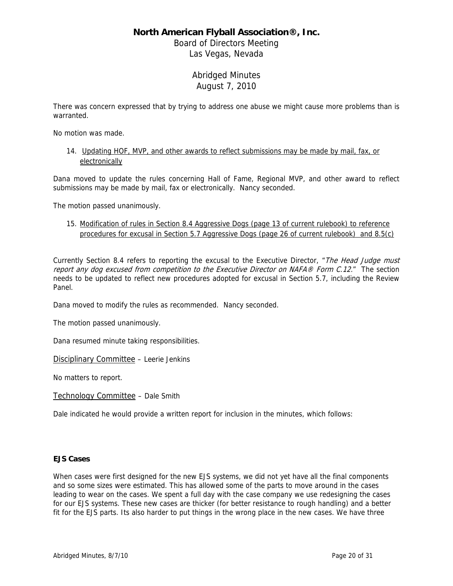Board of Directors Meeting Las Vegas, Nevada

# Abridged Minutes August 7, 2010

There was concern expressed that by trying to address one abuse we might cause more problems than is warranted.

No motion was made.

14. Updating HOF, MVP, and other awards to reflect submissions may be made by mail, fax, or electronically

Dana moved to update the rules concerning Hall of Fame, Regional MVP, and other award to reflect submissions may be made by mail, fax or electronically. Nancy seconded.

The motion passed unanimously.

15. Modification of rules in Section 8.4 Aggressive Dogs (page 13 of current rulebook) to reference procedures for excusal in Section 5.7 Aggressive Dogs (page 26 of current rulebook) and 8.5(c)

Currently Section 8.4 refers to reporting the excusal to the Executive Director, "The Head Judge must report any dog excused from competition to the Executive Director on NAFA® Form C.12." The section needs to be updated to reflect new procedures adopted for excusal in Section 5.7, including the Review Panel.

Dana moved to modify the rules as recommended. Nancy seconded.

The motion passed unanimously.

Dana resumed minute taking responsibilities.

Disciplinary Committee - Leerie Jenkins

No matters to report.

Technology Committee – Dale Smith

Dale indicated he would provide a written report for inclusion in the minutes, which follows:

### **EJS Cases**

When cases were first designed for the new EJS systems, we did not yet have all the final components and so some sizes were estimated. This has allowed some of the parts to move around in the cases leading to wear on the cases. We spent a full day with the case company we use redesigning the cases for our EJS systems. These new cases are thicker (for better resistance to rough handling) and a better fit for the EJS parts. Its also harder to put things in the wrong place in the new cases. We have three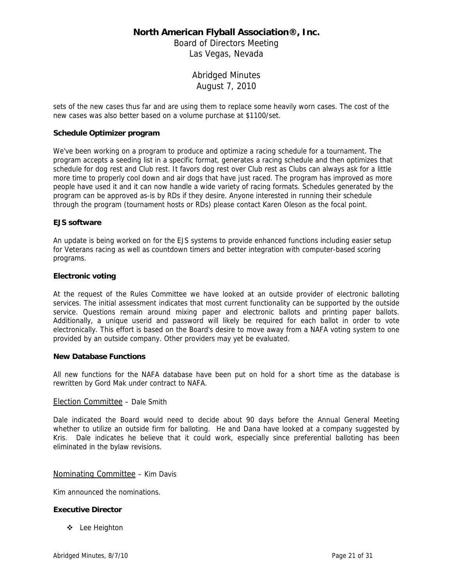Board of Directors Meeting Las Vegas, Nevada

> Abridged Minutes August 7, 2010

sets of the new cases thus far and are using them to replace some heavily worn cases. The cost of the new cases was also better based on a volume purchase at \$1100/set.

### **Schedule Optimizer program**

We've been working on a program to produce and optimize a racing schedule for a tournament. The program accepts a seeding list in a specific format, generates a racing schedule and then optimizes that schedule for dog rest and Club rest. It favors dog rest over Club rest as Clubs can always ask for a little more time to properly cool down and air dogs that have just raced. The program has improved as more people have used it and it can now handle a wide variety of racing formats. Schedules generated by the program can be approved as-is by RDs if they desire. Anyone interested in running their schedule through the program (tournament hosts or RDs) please contact Karen Oleson as the focal point.

#### **EJS software**

An update is being worked on for the EJS systems to provide enhanced functions including easier setup for Veterans racing as well as countdown timers and better integration with computer-based scoring programs.

#### **Electronic voting**

At the request of the Rules Committee we have looked at an outside provider of electronic balloting services. The initial assessment indicates that most current functionality can be supported by the outside service. Questions remain around mixing paper and electronic ballots and printing paper ballots. Additionally, a unique userid and password will likely be required for each ballot in order to vote electronically. This effort is based on the Board's desire to move away from a NAFA voting system to one provided by an outside company. Other providers may yet be evaluated.

#### **New Database Functions**

All new functions for the NAFA database have been put on hold for a short time as the database is rewritten by Gord Mak under contract to NAFA.

### Election Committee – Dale Smith

Dale indicated the Board would need to decide about 90 days before the Annual General Meeting whether to utilize an outside firm for balloting. He and Dana have looked at a company suggested by Kris. Dale indicates he believe that it could work, especially since preferential balloting has been eliminated in the bylaw revisions.

### Nominating Committee – Kim Davis

Kim announced the nominations.

### **Executive Director**

Lee Heighton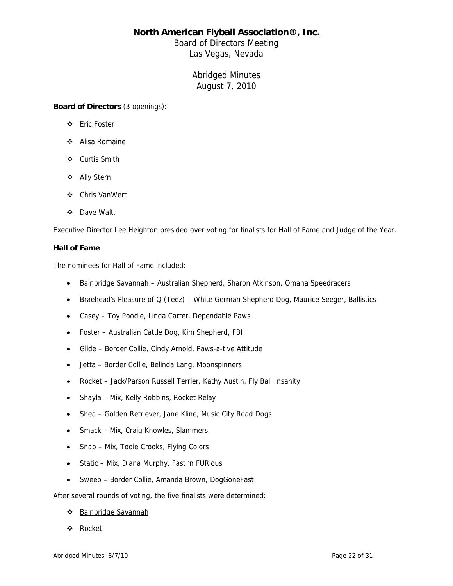Board of Directors Meeting Las Vegas, Nevada

> Abridged Minutes August 7, 2010

**Board of Directors** (3 openings):

- Eric Foster
- Alisa Romaine
- ❖ Curtis Smith
- Ally Stern
- Chris VanWert
- Dave Walt.

Executive Director Lee Heighton presided over voting for finalists for Hall of Fame and Judge of the Year.

### **Hall of Fame**

The nominees for Hall of Fame included:

- Bainbridge Savannah Australian Shepherd, Sharon Atkinson, Omaha Speedracers
- Braehead's Pleasure of Q (Teez) White German Shepherd Dog, Maurice Seeger, Ballistics
- Casey Toy Poodle, Linda Carter, Dependable Paws
- Foster Australian Cattle Dog, Kim Shepherd, FBI
- Glide Border Collie, Cindy Arnold, Paws-a-tive Attitude
- Jetta Border Collie, Belinda Lang, Moonspinners
- Rocket Jack/Parson Russell Terrier, Kathy Austin, Fly Ball Insanity
- Shayla Mix, Kelly Robbins, Rocket Relay
- Shea Golden Retriever, Jane Kline, Music City Road Dogs
- Smack Mix, Craig Knowles, Slammers
- Snap Mix, Tooie Crooks, Flying Colors
- Static Mix, Diana Murphy, Fast 'n FURious
- Sweep Border Collie, Amanda Brown, DogGoneFast

After several rounds of voting, the five finalists were determined:

- ❖ Bainbridge Savannah
- ❖ Rocket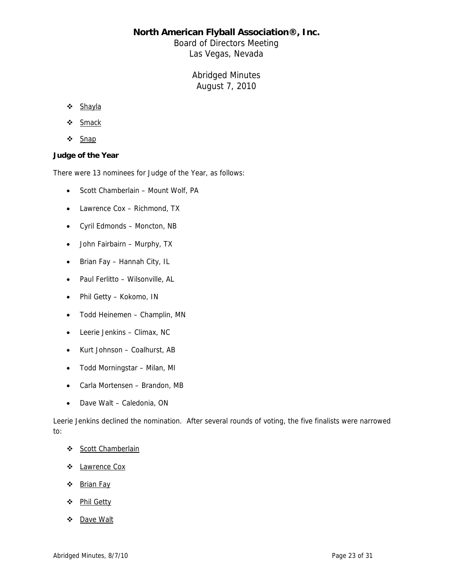Board of Directors Meeting Las Vegas, Nevada

# Abridged Minutes August 7, 2010

- ❖ Shayla
- Smack
- ❖ Snap

### **Judge of the Year**

There were 13 nominees for Judge of the Year, as follows:

- Scott Chamberlain Mount Wolf, PA
- Lawrence Cox Richmond, TX
- Cyril Edmonds Moncton, NB
- John Fairbairn Murphy, TX
- Brian Fay Hannah City, IL
- Paul Ferlitto Wilsonville, AL
- Phil Getty Kokomo, IN
- Todd Heinemen Champlin, MN
- Leerie Jenkins Climax, NC
- Kurt Johnson Coalhurst, AB
- Todd Morningstar Milan, MI
- Carla Mortensen Brandon, MB
- Dave Walt Caledonia, ON

Leerie Jenkins declined the nomination. After several rounds of voting, the five finalists were narrowed to:

- Scott Chamberlain
- ❖ Lawrence Cox
- ❖ Brian Fay
- Phil Getty
- ❖ Dave Walt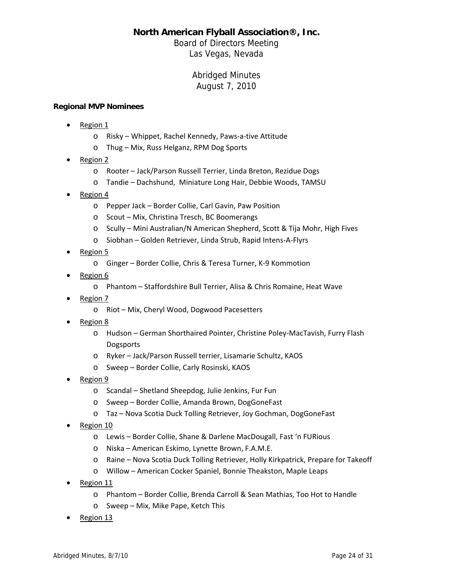Board of Directors Meeting Las Vegas, Nevada

# Abridged Minutes August 7, 2010

### **Regional MVP Nominees**

- Region 1
	- o Risky Whippet, Rachel Kennedy, Paws‐a‐tive Attitude
	- o Thug Mix, Russ Helganz, RPM Dog Sports
- Region 2
	- o Rooter Jack/Parson Russell Terrier, Linda Breton, Rezidue Dogs
	- o Tandie Dachshund, Miniature Long Hair, Debbie Woods, TAMSU
- Region 4
	- o Pepper Jack Border Collie, Carl Gavin, Paw Position
	- o Scout Mix, Christina Tresch, BC Boomerangs
	- o Scully Mini Australian/N American Shepherd, Scott & Tija Mohr, High Fives
	- o Siobhan Golden Retriever, Linda Strub, Rapid Intens‐A‐Flyrs
- Region 5
	- o Ginger Border Collie, Chris & Teresa Turner, K‐9 Kommotion
- Region 6
	- o Phantom Staffordshire Bull Terrier, Alisa & Chris Romaine, Heat Wave
- Region 7
	- o Riot Mix, Cheryl Wood, Dogwood Pacesetters
- Region 8
	- o Hudson German Shorthaired Pointer, Christine Poley‐MacTavish, Furry Flash Dogsports
	- o Ryker Jack/Parson Russell terrier, Lisamarie Schultz, KAOS
	- o Sweep Border Collie, Carly Rosinski, KAOS
- Region 9
	- o Scandal Shetland Sheepdog, Julie Jenkins, Fur Fun
	- o Sweep Border Collie, Amanda Brown, DogGoneFast
	- o Taz Nova Scotia Duck Tolling Retriever, Joy Gochman, DogGoneFast
- Region 10
	- o Lewis Border Collie, Shane & Darlene MacDougall, Fast 'n FURious
	- o Niska American Eskimo, Lynette Brown, F.A.M.E.
	- o Raine Nova Scotia Duck Tolling Retriever, Holly Kirkpatrick, Prepare for Takeoff
	- o Willow American Cocker Spaniel, Bonnie Theakston, Maple Leaps
- Region 11
	- o Phantom Border Collie, Brenda Carroll & Sean Mathias, Too Hot to Handle
	- o Sweep Mix, Mike Pape, Ketch This
- Region 13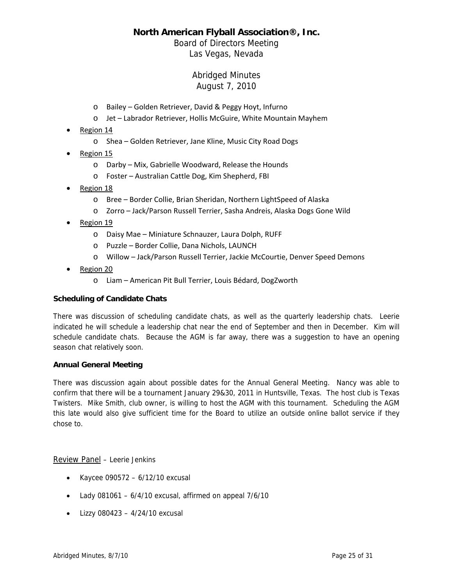# Board of Directors Meeting Las Vegas, Nevada

# Abridged Minutes August 7, 2010

- o Bailey Golden Retriever, David & Peggy Hoyt, Infurno
- o Jet Labrador Retriever, Hollis McGuire, White Mountain Mayhem
- Region 14
	- o Shea Golden Retriever, Jane Kline, Music City Road Dogs
- Region 15
	- o Darby Mix, Gabrielle Woodward, Release the Hounds
	- o Foster Australian Cattle Dog, Kim Shepherd, FBI
- Region 18
	- o Bree Border Collie, Brian Sheridan, Northern LightSpeed of Alaska
	- o Zorro Jack/Parson Russell Terrier, Sasha Andreis, Alaska Dogs Gone Wild
- Region 19
	- o Daisy Mae Miniature Schnauzer, Laura Dolph, RUFF
	- o Puzzle Border Collie, Dana Nichols, LAUNCH
	- o Willow Jack/Parson Russell Terrier, Jackie McCourtie, Denver Speed Demons
- Region 20
	- o Liam American Pit Bull Terrier, Louis Bédard, DogZworth

### **Scheduling of Candidate Chats**

There was discussion of scheduling candidate chats, as well as the quarterly leadership chats. Leerie indicated he will schedule a leadership chat near the end of September and then in December. Kim will schedule candidate chats. Because the AGM is far away, there was a suggestion to have an opening season chat relatively soon.

### **Annual General Meeting**

There was discussion again about possible dates for the Annual General Meeting. Nancy was able to confirm that there will be a tournament January 29&30, 2011 in Huntsville, Texas. The host club is Texas Twisters. Mike Smith, club owner, is willing to host the AGM with this tournament. Scheduling the AGM this late would also give sufficient time for the Board to utilize an outside online ballot service if they chose to.

Review Panel – Leerie Jenkins

- Kaycee 090572  $6/12/10$  excusal
- Lady 081061 6/4/10 excusal, affirmed on appeal 7/6/10
- Lizzy 080423  $4/24/10$  excusal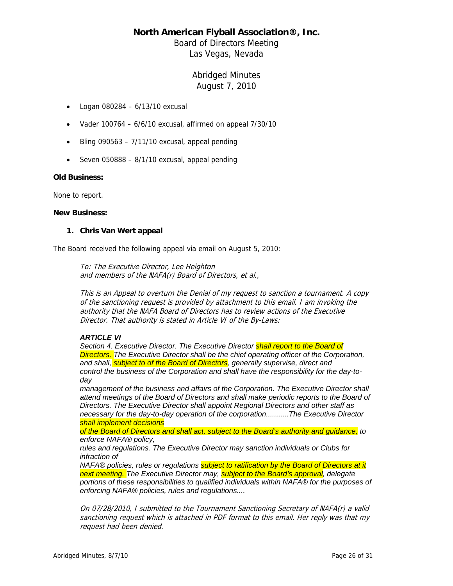Board of Directors Meeting Las Vegas, Nevada

# Abridged Minutes August 7, 2010

- Logan 080284  $6/13/10$  excusal
- Vader 100764  $6/6/10$  excusal, affirmed on appeal  $7/30/10$
- Bling 090563  $7/11/10$  excusal, appeal pending
- Seven 050888  $8/1/10$  excusal, appeal pending

### **Old Business:**

None to report.

#### **New Business:**

### **1. Chris Van Wert appeal**

The Board received the following appeal via email on August 5, 2010:

To: The Executive Director, Lee Heighton and members of the NAFA(r) Board of Directors, et al.,

This is an Appeal to overturn the Denial of my request to sanction a tournament. A copy of the sanctioning request is provided by attachment to this email. I am invoking the authority that the NAFA Board of Directors has to review actions of the Executive Director. That authority is stated in Article VI of the By-Laws:

### *ARTICLE VI*

*Section 4. Executive Director. The Executive Director shall report to the Board of Directors. The Executive Director shall be the chief operating officer of the Corporation, and shall, subject to of the Board of Directors, generally supervise, direct and control the business of the Corporation and shall have the responsibility for the day-today* 

*management of the business and affairs of the Corporation. The Executive Director shall attend meetings of the Board of Directors and shall make periodic reports to the Board of Directors. The Executive Director shall appoint Regional Directors and other staff as necessary for the day-to-day operation of the corporation...........The Executive Director shall implement decisions* 

*of the Board of Directors and shall act, subject to the Board's authority and guidance, to enforce NAFA® policy,* 

*rules and regulations. The Executive Director may sanction individuals or Clubs for infraction of* 

*NAFA® policies, rules or regulations subject to ratification by the Board of Directors at it next meeting. The Executive Director may, subject to the Board's approval, delegate portions of these responsibilities to qualified individuals within NAFA® for the purposes of enforcing NAFA® policies, rules and regulations....*

On 07/28/2010, I submitted to the Tournament Sanctioning Secretary of NAFA(r) a valid sanctioning request which is attached in PDF format to this email. Her reply was that my request had been denied.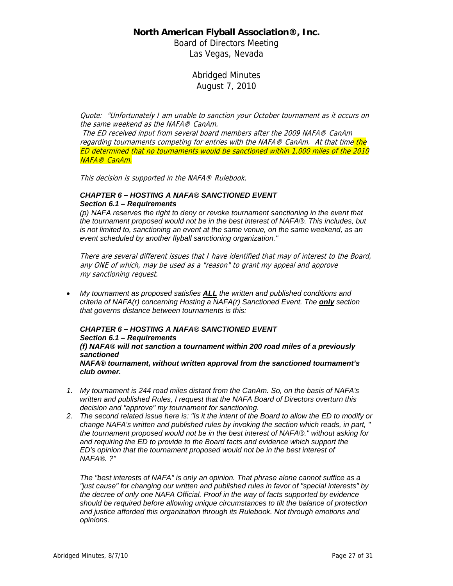Board of Directors Meeting Las Vegas, Nevada

> Abridged Minutes August 7, 2010

Quote: "Unfortunately I am unable to sanction your October tournament as it occurs on the same weekend as the NAFA® CanAm.

 The ED received input from several board members after the 2009 NAFA® CanAm regarding tournaments competing for entries with the NAFA® CanAm. At that time the ED determined that no tournaments would be sanctioned within 1,000 miles of the 2010 NAFA® CanAm.

This decision is supported in the NAFA® Rulebook.

#### *CHAPTER 6 – HOSTING A NAFA® SANCTIONED EVENT Section 6.1 – Requirements*

*(p) NAFA reserves the right to deny or revoke tournament sanctioning in the event that the tournament proposed would not be in the best interest of NAFA®. This includes, but is not limited to, sanctioning an event at the same venue, on the same weekend, as an event scheduled by another flyball sanctioning organization."*

There are several different issues that I have identified that may of interest to the Board, any ONE of which, may be used as a "reason" to grant my appeal and approve my sanctioning request.

• *My tournament as proposed satisfies ALL the written and published conditions and criteria of NAFA(r) concerning Hosting a NAFA(r) Sanctioned Event. The only section that governs distance between tournaments is this:*

### *CHAPTER 6 – HOSTING A NAFA® SANCTIONED EVENT Section 6.1 – Requirements*

*(f) NAFA® will not sanction a tournament within 200 road miles of a previously sanctioned*

*NAFA® tournament, without written approval from the sanctioned tournament's club owner.*

- *1. My tournament is 244 road miles distant from the CanAm. So, on the basis of NAFA's written and published Rules, I request that the NAFA Board of Directors overturn this decision and "approve" my tournament for sanctioning.*
- *2. The second related issue here is: "Is it the intent of the Board to allow the ED to modify or change NAFA's written and published rules by invoking the section which reads, in part, " the tournament proposed would not be in the best interest of NAFA®." without asking for and requiring the ED to provide to the Board facts and evidence which support the ED's opinion that the tournament proposed would not be in the best interest of NAFA®. ?"*

*The "best interests of NAFA" is only an opinion. That phrase alone cannot suffice as a "just cause" for changing our written and published rules in favor of "special interests" by the decree of only one NAFA Official. Proof in the way of facts supported by evidence should be required before allowing unique circumstances to tilt the balance of protection and justice afforded this organization through its Rulebook. Not through emotions and opinions.*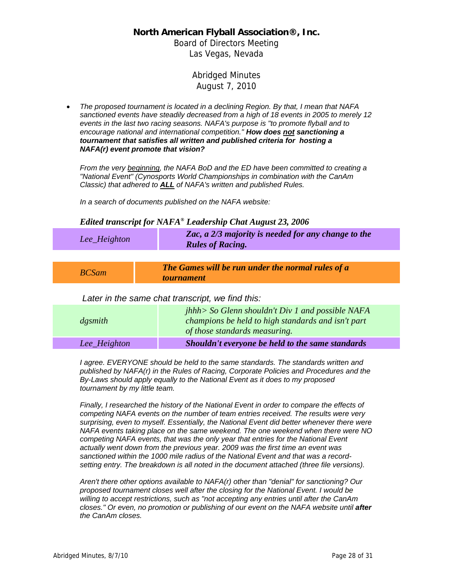Board of Directors Meeting Las Vegas, Nevada

# Abridged Minutes August 7, 2010

• *The proposed tournament is located in a declining Region. By that, I mean that NAFA sanctioned events have steadily decreased from a high of 18 events in 2005 to merely 12 events in the last two racing seasons. NAFA's purpose is "to promote flyball and to encourage national and international competition." How does not sanctioning a tournament that satisfies all written and published criteria for hosting a NAFA(r) event promote that vision?*

*From the very beginning, the NAFA BoD and the ED have been committed to creating a "National Event" (Cynosports World Championships in combination with the CanAm Classic) that adhered to ALL of NAFA's written and published Rules.* 

*In a search of documents published on the NAFA website:* 

### *Edited transcript for NAFA® Leadership Chat August 23, 2006*

| Lee_Heighton | Zac, a 2/3 majority is needed for any change to the<br><b>Rules of Racing.</b> |
|--------------|--------------------------------------------------------------------------------|
|              |                                                                                |
| <b>BCSam</b> | The Games will be run under the normal rules of a<br><i>tournament</i>         |
|              | ater in the same chat transcript we find this:                                 |

 *Later in the same chat transcript, we find this:*

| $d$ <i>gsmith</i> | $jhhh>$ So Glenn shouldn't Div 1 and possible NAFA<br>champions be held to high standards and isn't part<br>of those standards measuring. |
|-------------------|-------------------------------------------------------------------------------------------------------------------------------------------|
| Lee_Heighton      | Shouldn't everyone be held to the same standards                                                                                          |

*I agree. EVERYONE should be held to the same standards. The standards written and published by NAFA(r) in the Rules of Racing, Corporate Policies and Procedures and the By-Laws should apply equally to the National Event as it does to my proposed tournament by my little team.* 

*Finally, I researched the history of the National Event in order to compare the effects of competing NAFA events on the number of team entries received. The results were very surprising, even to myself. Essentially, the National Event did better whenever there were NAFA events taking place on the same weekend. The one weekend when there were NO competing NAFA events, that was the only year that entries for the National Event actually went down from the previous year. 2009 was the first time an event was sanctioned within the 1000 mile radius of the National Event and that was a recordsetting entry. The breakdown is all noted in the document attached (three file versions).* 

*Aren't there other options available to NAFA(r) other than "denial" for sanctioning? Our proposed tournament closes well after the closing for the National Event. I would be willing to accept restrictions, such as "not accepting any entries until after the CanAm closes." Or even, no promotion or publishing of our event on the NAFA website until after the CanAm closes.*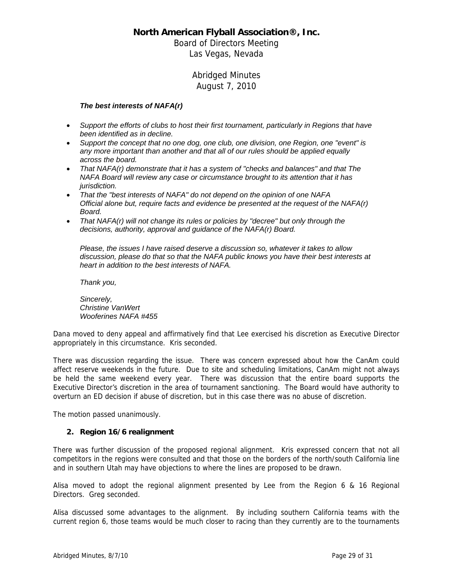Board of Directors Meeting Las Vegas, Nevada

# Abridged Minutes August 7, 2010

### *The best interests of NAFA(r)*

- *Support the efforts of clubs to host their first tournament, particularly in Regions that have been identified as in decline.*
- *Support the concept that no one dog, one club, one division, one Region, one "event" is any more important than another and that all of our rules should be applied equally across the board.*
- *That NAFA(r) demonstrate that it has a system of "checks and balances" and that The NAFA Board will review any case or circumstance brought to its attention that it has jurisdiction.*
- *That the "best interests of NAFA" do not depend on the opinion of one NAFA Official alone but, require facts and evidence be presented at the request of the NAFA(r) Board.*
- *That NAFA(r) will not change its rules or policies by "decree" but only through the decisions, authority, approval and guidance of the NAFA(r) Board.*

*Please, the issues I have raised deserve a discussion so, whatever it takes to allow discussion, please do that so that the NAFA public knows you have their best interests at heart in addition to the best interests of NAFA.* 

*Thank you,* 

*Sincerely, Christine VanWert Wooferines NAFA #455* 

Dana moved to deny appeal and affirmatively find that Lee exercised his discretion as Executive Director appropriately in this circumstance. Kris seconded.

There was discussion regarding the issue. There was concern expressed about how the CanAm could affect reserve weekends in the future. Due to site and scheduling limitations, CanAm might not always be held the same weekend every year. There was discussion that the entire board supports the Executive Director's discretion in the area of tournament sanctioning. The Board would have authority to overturn an ED decision if abuse of discretion, but in this case there was no abuse of discretion.

The motion passed unanimously.

### **2. Region 16/6 realignment**

There was further discussion of the proposed regional alignment. Kris expressed concern that not all competitors in the regions were consulted and that those on the borders of the north/south California line and in southern Utah may have objections to where the lines are proposed to be drawn.

Alisa moved to adopt the regional alignment presented by Lee from the Region 6 & 16 Regional Directors. Greg seconded.

Alisa discussed some advantages to the alignment. By including southern California teams with the current region 6, those teams would be much closer to racing than they currently are to the tournaments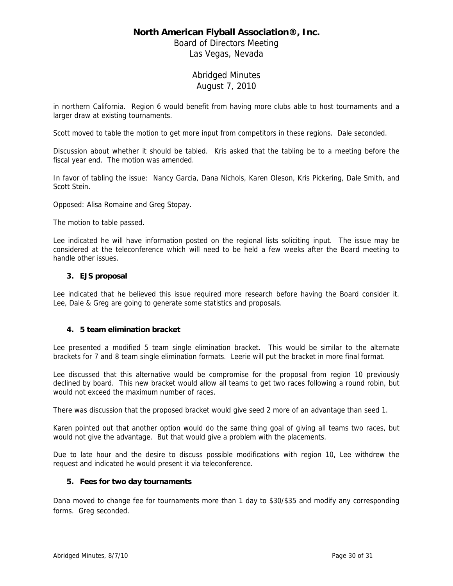Board of Directors Meeting Las Vegas, Nevada

# Abridged Minutes August 7, 2010

in northern California. Region 6 would benefit from having more clubs able to host tournaments and a larger draw at existing tournaments.

Scott moved to table the motion to get more input from competitors in these regions. Dale seconded.

Discussion about whether it should be tabled. Kris asked that the tabling be to a meeting before the fiscal year end. The motion was amended.

In favor of tabling the issue: Nancy Garcia, Dana Nichols, Karen Oleson, Kris Pickering, Dale Smith, and Scott Stein.

Opposed: Alisa Romaine and Greg Stopay.

The motion to table passed.

Lee indicated he will have information posted on the regional lists soliciting input. The issue may be considered at the teleconference which will need to be held a few weeks after the Board meeting to handle other issues.

### **3. EJS proposal**

Lee indicated that he believed this issue required more research before having the Board consider it. Lee, Dale & Greg are going to generate some statistics and proposals.

### **4. 5 team elimination bracket**

Lee presented a modified 5 team single elimination bracket. This would be similar to the alternate brackets for 7 and 8 team single elimination formats. Leerie will put the bracket in more final format.

Lee discussed that this alternative would be compromise for the proposal from region 10 previously declined by board. This new bracket would allow all teams to get two races following a round robin, but would not exceed the maximum number of races.

There was discussion that the proposed bracket would give seed 2 more of an advantage than seed 1.

Karen pointed out that another option would do the same thing goal of giving all teams two races, but would not give the advantage. But that would give a problem with the placements.

Due to late hour and the desire to discuss possible modifications with region 10, Lee withdrew the request and indicated he would present it via teleconference.

### **5. Fees for two day tournaments**

Dana moved to change fee for tournaments more than 1 day to \$30/\$35 and modify any corresponding forms. Greg seconded.